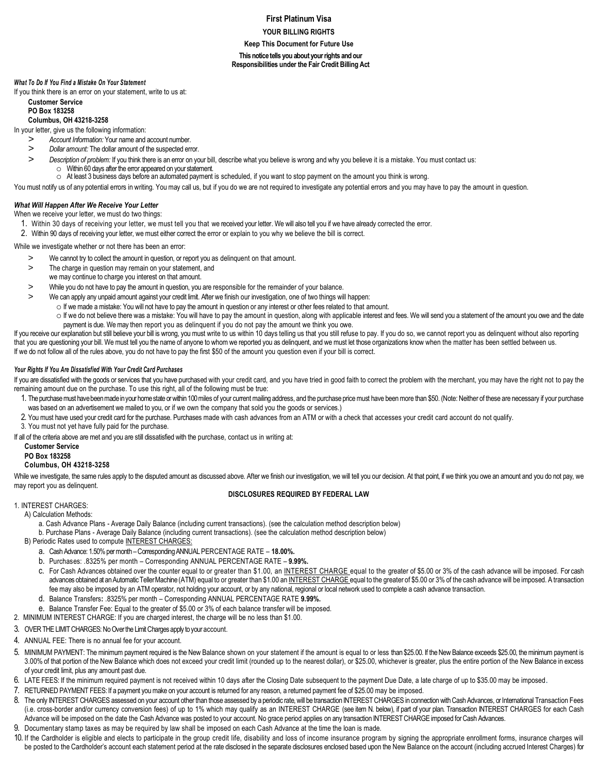# **First Platinum Visa**

**YOUR BILLING RIGHTS**

**Keep This Document for Future Use**

**This notice tells you about your rights and our Responsibilities under the Fair Credit Billing Act**

### *What To Do If You Find a Mistake On Your Statement*

If you think there is an error on your statement, write to us at:

# **Customer Service**

#### **PO Box 183258 Columbus, OH 43218-3258**

In your letter, give us the following information:

- *> Account Information:* Your name and account number.
- *> Dollar amount:* The dollar amount of the suspected error.
- *> Description of problem:* If you think there is an error on your bill, describe what you believe is wrong and why you believe it is a mistake. You must contact us: o Within 60 days after the error appeared on your statement.
- o At least 3 business days before an automated payment is scheduled, if you want to stop payment on the amount you think is wrong.
- You must notify us of any potential errors in writing. You may call us, but if you do we are not required to investigate any potential errors and you may have to pay the amount in question.

## *What Will Happen After We Receive Your Letter*

When we receive your letter, we must do two things:

- 1. Within 30 days of receiving your letter, we must tell you that we received your letter. We will also tell you if we have already corrected the error.
- 2. Within 90 days of receiving your letter, we must either correct the error or explain to you why we believe the bill is correct.

While we investigate whether or not there has been an error:

- > We cannot try to collect the amount in question, or report you as delinquent on that amount.
- > The charge in question may remain on your statement, and
- we may continue to charge you interest on that amount.
- > While you do not have to pay the amount in question, you are responsible for the remainder of your balance.
- > We can apply any unpaid amount against your credit limit. After we finish our investigation, one of two things will happen:
	- o If we made a mistake: You will not have to pay the amount in question or any interest or other fees related to that amount.
- o If we do not believe there was a mistake: You will have to pay the amount in question, along with applicable interest and fees. We will send you a statement of the amount you owe and the date payment is due. We may then report you as delinquent if you do not pay the amount we think you owe.

If you receive our explanation but still believe your bill is wrong, you must write to us within 10 days telling us that you still refuse to pay. If you do so, we cannot report you as delinquent without also reporting that you are questioning your bill. We must tell you the name of anyone to whom we reported you as delinquent, and we must let those organizations know when the matter has been settled between us. If we do not follow all of the rules above, you do not have to pay the first \$50 of the amount you question even if your bill is correct.

### *Your Rights If You Are Dissatisfied With Your Credit Card Purchases*

If you are dissatisfied with the goods or services that you have purchased with your credit card, and you have tried in good faith to correct the problem with the merchant, you may have the right not to pay the remaining amount due on the purchase. To use this right, all of the following must be true:

- 1. The purchase must have been made in your home state or within 100 miles of your current mailing address, and the purchase price must have been more than \$50. (Note: Neither of these are necessary if your purchase was based on an advertisement we mailed to you, or if we own the company that sold you the goods or services.)
- 2. You must have used your credit card for the purchase. Purchases made with cash advances from an ATM or with a check that accesses your credit card account do not qualify.
- 3. You must not yet have fully paid for the purchase.

If all of the criteria above are met and you are still dissatisfied with the purchase, contact us in writing at:

# **Customer Service**

### **PO Box 183258**

# **Columbus, OH 43218-3258**

While we investigate, the same rules apply to the disputed amount as discussed above. After we finish our investigation, we will tell you our decision. At that point, if we think you owe an amount and you do not pay, we may report you as delinquent.

### **DISCLOSURES REQUIRED BY FEDERAL LAW**

# 1. INTEREST CHARGES:

A) Calculation Methods:

a. Cash Advance Plans - Average Daily Balance (including current transactions). (see the calculation method description below)

b. Purchase Plans - Average Daily Balance (including current transactions). (see the calculation method description below)

- B) Periodic Rates used to compute INTEREST CHARGES:
	- a. Cash Advance: 1.50% per month –Corresponding ANNUAL PERCENTAGE RATE **18.00%.**
	- b. Purchases: .8325% per month Corresponding ANNUAL PERCENTAGE RATE **9.99%.**
	- c. For Cash Advances obtained over the counter equal to or greater than \$1.00, an INTEREST CHARGE equal to the greater of \$5.00 or 3% of the cash advance will be imposed. For cash advances obtained at an Automatic Teller Machine (ATM) equal to or greater than \$1.00 an INTEREST CHARGE equal to the greater of \$5.00 or 3% of the cash advance will be imposed. A transaction fee may also be imposed by an ATM operator, not holding your account, or by any national, regional or local network used to complete a cash advance transaction.
	- d. Balance Transfers**:** .8325% per month Corresponding ANNUAL PERCENTAGE RATE **9.99%.**
	- e. Balance Transfer Fee: Equal to the greater of \$5.00 or 3% of each balance transfer will be imposed.
- 2. MINIMUM INTEREST CHARGE: If you are charged interest, the charge will be no less than \$1.00.
- 3. OVER THE LIMIT CHARGES: No Over the Limit Charges apply to your account.
- 4. ANNUAL FEE: There is no annual fee for your account.
- 5. MINIMUM PAYMENT: The minimum payment required is the New Balance shown on your statement if the amount is equal to or less than \$25.00. If the New Balance exceeds \$25.00, the minimum payment is 3.00% of that portion of the New Balance which does not exceed your credit limit (rounded up to the nearest dollar), or \$25.00, whichever is greater, plus the entire portion of the New Balance in excess of your credit limit, plus any amount past due.
- 6. LATE FEES: If the minimum required payment is not received within 10 days after the Closing Date subsequent to the payment Due Date, a late charge of up to \$35.00 may be imposed.
- 7. RETURNED PAYMENT FEES: If a payment you make on your account is returned for any reason, a returned payment fee of \$25.00 may be imposed.
- 8. The only INTEREST CHARGES assessed on your account other than those assessed by a periodic rate, will be transaction INTEREST CHARGES in connection with Cash Advances, or International Transaction Fees (i.e. cross-border and/or currency conversion fees) of up to 1% which may qualify as an INTEREST CHARGE (see item N. below), if part of your plan. Transaction INTEREST CHARGES for each Cash Advance will be imposed on the date the Cash Advance was posted to your account. No grace period applies on any transaction INTEREST CHARGE imposed for Cash Advances.
- 9. Documentary stamp taxes as may be required by law shall be imposed on each Cash Advance at the time the loan is made.
- 10. If the Cardholder is eligible and elects to participate in the group credit life, disability and loss of income insurance program by signing the appropriate enrollment forms, insurance charges will be posted to the Cardholder's account each statement period at the rate disclosed in the separate disclosures enclosed based upon the New Balance on the account (including accrued Interest Charges) for